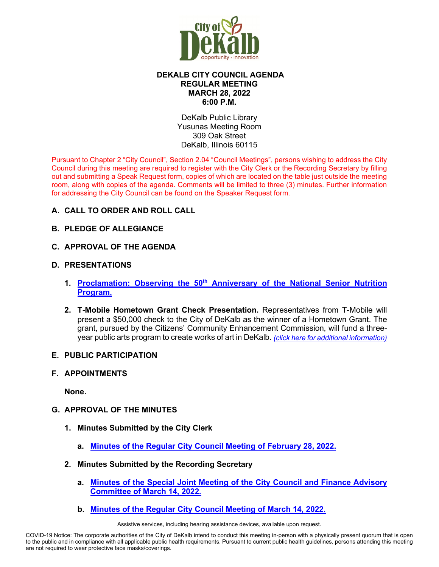

# **DEKALB CITY COUNCIL AGENDA REGULAR MEETING MARCH 28, 2022 6:00 P.M.**

DeKalb Public Library Yusunas Meeting Room 309 Oak Street DeKalb, Illinois 60115

Pursuant to Chapter 2 "City Council", Section 2.04 "Council Meetings", persons wishing to address the City Council during this meeting are required to register with the City Clerk or the Recording Secretary by filling out and submitting a Speak Request form, copies of which are located on the table just outside the meeting room, along with copies of the agenda. Comments will be limited to three (3) minutes. Further information for addressing the City Council can be found on the Speaker Request form.

# **A. CALL TO ORDER AND ROLL CALL**

# **B. PLEDGE OF ALLEGIANCE**

**C. APPROVAL OF THE AGENDA**

# **D. PRESENTATIONS**

- **1. Proclamation: Observing the 50th [Anniversary of the National Senior Nutrition](https://www.cityofdekalb.com/DocumentCenter/View/13724/2-Proclamation---SNP-50th-Anniversary)  [Program.](https://www.cityofdekalb.com/DocumentCenter/View/13724/2-Proclamation---SNP-50th-Anniversary)**
- **2. T-Mobile Hometown Grant Check Presentation.** Representatives from T-Mobile will present a \$50,000 check to the City of DeKalb as the winner of a Hometown Grant. The grant, pursued by the Citizens' Community Enhancement Commission, will fund a threeyear public arts program to create works of art in DeKalb. *[\(click here for additional information\)](https://www.cityofdekalb.com/DocumentCenter/View/13725/3-T-Mobile-Hometown-Mrkt-Agr)*

#### **E. PUBLIC PARTICIPATION**

#### **F. APPOINTMENTS**

**None.** 

# **G. APPROVAL OF THE MINUTES**

- **1. Minutes Submitted by the City Clerk**
	- **a. [Minutes of the Regular City Council Meeting of February 28, 2022.](https://www.cityofdekalb.com/DocumentCenter/View/13726/4-022822-Regular-Minutes-SC)**

# **2. Minutes Submitted by the Recording Secretary**

- **a. [Minutes of the Special Joint Meeting of the City Council and Finance Advisory](https://www.cityofdekalb.com/DocumentCenter/View/13727/5-031422-Special-Jnt-CC-FAC-Minutes)  [Committee of March 14, 2022.](https://www.cityofdekalb.com/DocumentCenter/View/13727/5-031422-Special-Jnt-CC-FAC-Minutes)**
- **b. [Minutes of the Regular City Council Meeting of March 14, 2022.](https://www.cityofdekalb.com/DocumentCenter/View/13728/6-031422-Regular-Minutes)**

Assistive services, including hearing assistance devices, available upon request.

COVID-19 Notice: The corporate authorities of the City of DeKalb intend to conduct this meeting in-person with a physically present quorum that is open to the public and in compliance with all applicable public health requirements. Pursuant to current public health guidelines, persons attending this meeting are not required to wear protective face masks/coverings.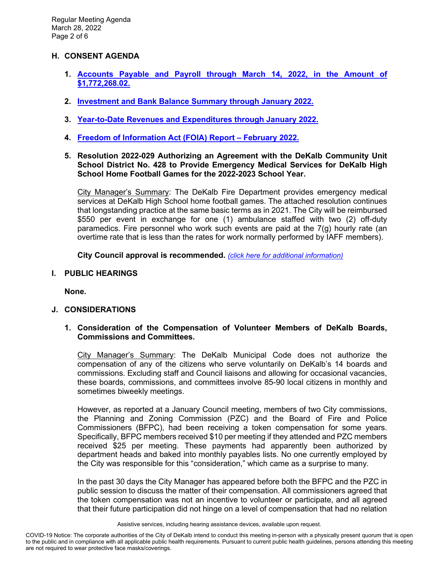#### **H. CONSENT AGENDA**

- **1. [Accounts Payable and Payroll through March 14, 2022, in the Amount of](https://www.cityofdekalb.com/DocumentCenter/View/13729/7-APP-032822)  [\\$1,772,268.02.](https://www.cityofdekalb.com/DocumentCenter/View/13729/7-APP-032822)**
- **2. [Investment and Bank Balance Summary through January](https://www.cityofdekalb.com/DocumentCenter/View/13730/8-IBB-Jan-2022) 2022.**
- **3. [Year-to-Date Revenues and Expenditures through January](https://www.cityofdekalb.com/DocumentCenter/View/13731/9-YTD-Rev-Exp-Jan-2022) 2022.**
- **4. [Freedom of Information Act \(FOIA\) Report February 2022.](https://www.cityofdekalb.com/DocumentCenter/View/13732/10-FOIA-Rpt-Feb-2022)**
- **5. Resolution 2022-029 Authorizing an Agreement with the DeKalb Community Unit School District No. 428 to Provide Emergency Medical Services for DeKalb High School Home Football Games for the 2022-2023 School Year.**

City Manager's Summary: The DeKalb Fire Department provides emergency medical services at DeKalb High School home football games. The attached resolution continues that longstanding practice at the same basic terms as in 2021. The City will be reimbursed \$550 per event in exchange for one (1) ambulance staffed with two (2) off-duty paramedics. Fire personnel who work such events are paid at the 7(g) hourly rate (an overtime rate that is less than the rates for work normally performed by IAFF members).

**City Council approval is recommended.** *[\(click here for additional information\)](https://www.cityofdekalb.com/DocumentCenter/View/13733/11-Res-2022-029)*

**I. PUBLIC HEARINGS**

**None.**

# **J. CONSIDERATIONS**

#### **1. Consideration of the Compensation of Volunteer Members of DeKalb Boards, Commissions and Committees.**

City Manager's Summary: The DeKalb Municipal Code does not authorize the compensation of any of the citizens who serve voluntarily on DeKalb's 14 boards and commissions. Excluding staff and Council liaisons and allowing for occasional vacancies, these boards, commissions, and committees involve 85-90 local citizens in monthly and sometimes biweekly meetings.

However, as reported at a January Council meeting, members of two City commissions, the Planning and Zoning Commission (PZC) and the Board of Fire and Police Commissioners (BFPC), had been receiving a token compensation for some years. Specifically, BFPC members received \$10 per meeting if they attended and PZC members received \$25 per meeting. These payments had apparently been authorized by department heads and baked into monthly payables lists. No one currently employed by the City was responsible for this "consideration," which came as a surprise to many.

In the past 30 days the City Manager has appeared before both the BFPC and the PZC in public session to discuss the matter of their compensation. All commissioners agreed that the token compensation was not an incentive to volunteer or participate, and all agreed that their future participation did not hinge on a level of compensation that had no relation

Assistive services, including hearing assistance devices, available upon request.

COVID-19 Notice: The corporate authorities of the City of DeKalb intend to conduct this meeting in-person with a physically present quorum that is open to the public and in compliance with all applicable public health requirements. Pursuant to current public health guidelines, persons attending this meeting are not required to wear protective face masks/coverings.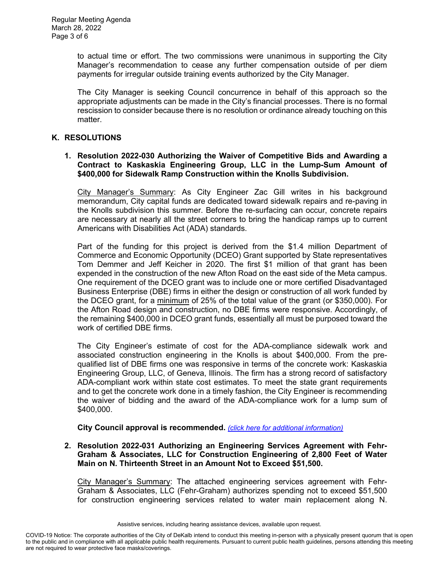to actual time or effort. The two commissions were unanimous in supporting the City Manager's recommendation to cease any further compensation outside of per diem payments for irregular outside training events authorized by the City Manager.

The City Manager is seeking Council concurrence in behalf of this approach so the appropriate adjustments can be made in the City's financial processes. There is no formal rescission to consider because there is no resolution or ordinance already touching on this matter.

#### **K. RESOLUTIONS**

#### **1. Resolution 2022-030 Authorizing the Waiver of Competitive Bids and Awarding a Contract to Kaskaskia Engineering Group, LLC in the Lump-Sum Amount of \$400,000 for Sidewalk Ramp Construction within the Knolls Subdivision.**

City Manager's Summary: As City Engineer Zac Gill writes in his background memorandum, City capital funds are dedicated toward sidewalk repairs and re-paving in the Knolls subdivision this summer. Before the re-surfacing can occur, concrete repairs are necessary at nearly all the street corners to bring the handicap ramps up to current Americans with Disabilities Act (ADA) standards.

 Part of the funding for this project is derived from the \$1.4 million Department of Commerce and Economic Opportunity (DCEO) Grant supported by State representatives Tom Demmer and Jeff Keicher in 2020. The first \$1 million of that grant has been expended in the construction of the new Afton Road on the east side of the Meta campus. One requirement of the DCEO grant was to include one or more certified Disadvantaged Business Enterprise (DBE) firms in either the design or construction of all work funded by the DCEO grant, for a minimum of 25% of the total value of the grant (or \$350,000). For the Afton Road design and construction, no DBE firms were responsive. Accordingly, of the remaining \$400,000 in DCEO grant funds, essentially all must be purposed toward the work of certified DBE firms.

 The City Engineer's estimate of cost for the ADA-compliance sidewalk work and associated construction engineering in the Knolls is about \$400,000. From the prequalified list of DBE firms one was responsive in terms of the concrete work: Kaskaskia Engineering Group, LLC, of Geneva, Illinois. The firm has a strong record of satisfactory ADA-compliant work within state cost estimates. To meet the state grant requirements and to get the concrete work done in a timely fashion, the City Engineer is recommending the waiver of bidding and the award of the ADA-compliance work for a lump sum of \$400,000.

**City Council approval is recommended.** *[\(click here for additional information\)](https://www.cityofdekalb.com/DocumentCenter/View/13734/12-Res-2022-030)*

#### **2. Resolution 2022-031 Authorizing an Engineering Services Agreement with Fehr-Graham & Associates, LLC for Construction Engineering of 2,800 Feet of Water Main on N. Thirteenth Street in an Amount Not to Exceed \$51,500.**

City Manager's Summary: The attached engineering services agreement with Fehr-Graham & Associates, LLC (Fehr-Graham) authorizes spending not to exceed \$51,500 for construction engineering services related to water main replacement along N.

Assistive services, including hearing assistance devices, available upon request.

COVID-19 Notice: The corporate authorities of the City of DeKalb intend to conduct this meeting in-person with a physically present quorum that is open to the public and in compliance with all applicable public health requirements. Pursuant to current public health guidelines, persons attending this meeting are not required to wear protective face masks/coverings.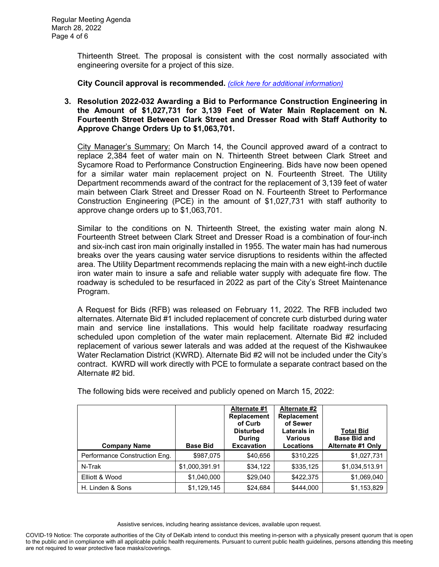Thirteenth Street. The proposal is consistent with the cost normally associated with engineering oversite for a project of this size.

**City Council approval is recommended.** *[\(click here for additional information\)](https://www.cityofdekalb.com/DocumentCenter/View/13735/13-Res-2022-031)*

**3. Resolution 2022-032 Awarding a Bid to Performance Construction Engineering in the Amount of \$1,027,731 for 3,139 Feet of Water Main Replacement on N. Fourteenth Street Between Clark Street and Dresser Road with Staff Authority to Approve Change Orders Up to \$1,063,701.** 

City Manager's Summary: On March 14, the Council approved award of a contract to replace 2,384 feet of water main on N. Thirteenth Street between Clark Street and Sycamore Road to Performance Construction Engineering. Bids have now been opened for a similar water main replacement project on N. Fourteenth Street. The Utility Department recommends award of the contract for the replacement of 3,139 feet of water main between Clark Street and Dresser Road on N. Fourteenth Street to Performance Construction Engineering (PCE) in the amount of \$1,027,731 with staff authority to approve change orders up to \$1,063,701.

Similar to the conditions on N. Thirteenth Street, the existing water main along N. Fourteenth Street between Clark Street and Dresser Road is a combination of four-inch and six-inch cast iron main originally installed in 1955. The water main has had numerous breaks over the years causing water service disruptions to residents within the affected area. The Utility Department recommends replacing the main with a new eight-inch ductile iron water main to insure a safe and reliable water supply with adequate fire flow. The roadway is scheduled to be resurfaced in 2022 as part of the City's Street Maintenance Program.

A Request for Bids (RFB) was released on February 11, 2022. The RFB included two alternates. Alternate Bid #1 included replacement of concrete curb disturbed during water main and service line installations. This would help facilitate roadway resurfacing scheduled upon completion of the water main replacement. Alternate Bid #2 included replacement of various sewer laterals and was added at the request of the Kishwaukee Water Reclamation District (KWRD). Alternate Bid #2 will not be included under the City's contract. KWRD will work directly with PCE to formulate a separate contract based on the Alternate #2 bid.

| <b>Company Name</b>           | <b>Base Bid</b> | Alternate #1<br><b>Replacement</b><br>of Curb<br><b>Disturbed</b><br><b>During</b><br><b>Excavation</b> | Alternate #2<br>Replacement<br>of Sewer<br>Laterals in<br><b>Various</b><br>Locations | <b>Total Bid</b><br><b>Base Bid and</b><br><b>Alternate #1 Only</b> |
|-------------------------------|-----------------|---------------------------------------------------------------------------------------------------------|---------------------------------------------------------------------------------------|---------------------------------------------------------------------|
| Performance Construction Eng. | \$987,075       | \$40,656                                                                                                | \$310,225                                                                             | \$1,027,731                                                         |
| N-Trak                        | \$1,000,391.91  | \$34,122                                                                                                | \$335,125                                                                             | \$1,034,513.91                                                      |
| Elliott & Wood                | \$1,040,000     | \$29,040                                                                                                | \$422,375                                                                             | \$1,069,040                                                         |
| H. Linden & Sons              | \$1,129,145     | \$24,684                                                                                                | \$444.000                                                                             | \$1,153,829                                                         |

The following bids were received and publicly opened on March 15, 2022:

Assistive services, including hearing assistance devices, available upon request.

COVID-19 Notice: The corporate authorities of the City of DeKalb intend to conduct this meeting in-person with a physically present quorum that is open to the public and in compliance with all applicable public health requirements. Pursuant to current public health guidelines, persons attending this meeting are not required to wear protective face masks/coverings.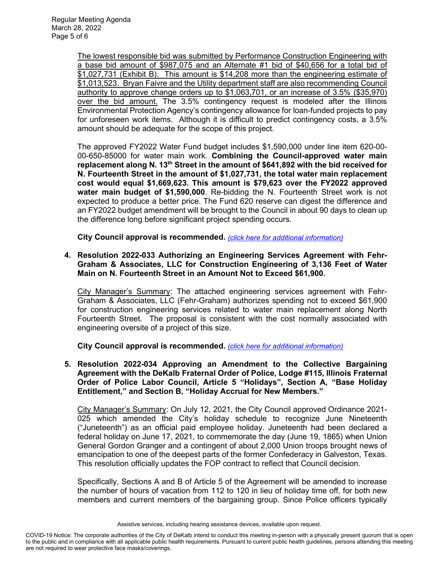The lowest responsible bid was submitted by Performance Construction Engineering with a base bid amount of \$987,075 and an Alternate #1 bid of \$40,656 for a total bid of \$1,027,731 (Exhibit B). This amount is \$14,208 more than the engineering estimate of \$1,013,523. Bryan Faivre and the Utility department staff are also recommending Council authority to approve change orders up to \$1,063,701, or an increase of 3.5% (\$35,970) over the bid amount. The 3.5% contingency request is modeled after the Illinois Environmental Protection Agency's contingency allowance for loan-funded projects to pay for unforeseen work items. Although it is difficult to predict contingency costs, a 3.5% amount should be adequate for the scope of this project.

The approved FY2022 Water Fund budget includes \$1,590,000 under line item 620-00- 00-650-85000 for water main work. **Combining the Council-approved water main replacement along N. 13th Street in the amount of \$641,892 with the bid received for N. Fourteenth Street in the amount of \$1,027,731, the total water main replacement cost would equal \$1,669,623. This amount is \$79,623 over the FY2022 approved water main budget of \$1,590,000**. Re-bidding the N. Fourteenth Street work is not expected to produce a better price. The Fund 620 reserve can digest the difference and an FY2022 budget amendment will be brought to the Council in about 90 days to clean up the difference long before significant project spending occurs.

**City Council approval is recommended.** *[\(click here for additional information\)](https://www.cityofdekalb.com/DocumentCenter/View/13736/14-Res-2022-032)*

**4. Resolution 2022-033 Authorizing an Engineering Services Agreement with Fehr-Graham & Associates, LLC for Construction Engineering of 3,136 Feet of Water Main on N. Fourteenth Street in an Amount Not to Exceed \$61,900.**

City Manager's Summary: The attached engineering services agreement with Fehr-Graham & Associates, LLC (Fehr-Graham) authorizes spending not to exceed \$61,900 for construction engineering services related to water main replacement along North Fourteenth Street. The proposal is consistent with the cost normally associated with engineering oversite of a project of this size.

**City Council approval is recommended.** *[\(click here for additional information\)](https://www.cityofdekalb.com/DocumentCenter/View/13737/15-Res-2022-033)*

**5. Resolution 2022-034 Approving an Amendment to the Collective Bargaining Agreement with the DeKalb Fraternal Order of Police, Lodge #115, Illinois Fraternal Order of Police Labor Council, Article 5 "Holidays", Section A, "Base Holiday Entitlement," and Section B, "Holiday Accrual for New Members."**

City Manager's Summary: On July 12, 2021, the City Council approved Ordinance 2021- 025 which amended the City's holiday schedule to recognize June Nineteenth ("Juneteenth") as an official paid employee holiday. Juneteenth had been declared a federal holiday on June 17, 2021, to commemorate the day (June 19, 1865) when Union General Gordon Granger and a contingent of about 2,000 Union troops brought news of emancipation to one of the deepest parts of the former Confederacy in Galveston, Texas. This resolution officially updates the FOP contract to reflect that Council decision.

Specifically, Sections A and B of Article 5 of the Agreement will be amended to increase the number of hours of vacation from 112 to 120 in lieu of holiday time off, for both new members and current members of the bargaining group. Since Police officers typically

Assistive services, including hearing assistance devices, available upon request.